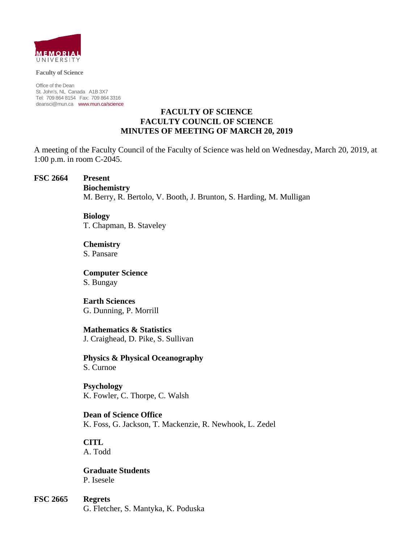

**Faculty of Science** 

Office of the Dean St. John's, NL Canada A1B 3X7 Tel: 709 864 8154 Fax: 709 864 3316 deansci@mun.ca www.mun.ca/science

#### **FACULTY OF SCIENCE FACULTY COUNCIL OF SCIENCE MINUTES OF MEETING OF MARCH 20, 2019**

A meeting of the Faculty Council of the Faculty of Science was held on Wednesday, March 20, 2019, at 1:00 p.m. in room C-2045.

#### **FSC 2664 Present**

 **Biochemistry**

M. Berry, R. Bertolo, V. Booth, J. Brunton, S. Harding, M. Mulligan

 **Biology** T. Chapman, B. Staveley

 **Chemistry** S. Pansare

 **Computer Science** S. Bungay

 **Earth Sciences** G. Dunning, P. Morrill

 **Mathematics & Statistics** J. Craighead, D. Pike, S. Sullivan

 **Physics & Physical Oceanography** S. Curnoe

 **Psychology** K. Fowler, C. Thorpe, C. Walsh

 **Dean of Science Office** K. Foss, G. Jackson, T. Mackenzie, R. Newhook, L. Zedel

 **CITL** A. Todd

 **Graduate Students** P. Isesele

**FSC 2665 Regrets** 

G. Fletcher, S. Mantyka, K. Poduska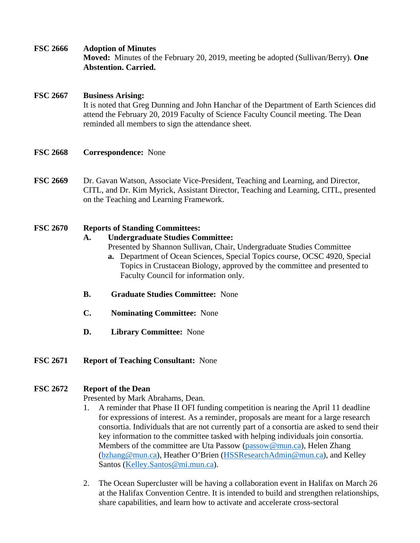**FSC 2666 Adoption of Minutes**

**Moved:** Minutes of the February 20, 2019, meeting be adopted (Sullivan/Berry). **One Abstention. Carried.** 

# **FSC 2667 Business Arising:**

 It is noted that Greg Dunning and John Hanchar of the Department of Earth Sciences did attend the February 20, 2019 Faculty of Science Faculty Council meeting. The Dean reminded all members to sign the attendance sheet.

- **FSC 2668 Correspondence:** None
- **FSC 2669** Dr. Gavan Watson, Associate Vice-President, Teaching and Learning, and Director, CITL, and Dr. Kim Myrick, Assistant Director, Teaching and Learning, CITL, presented on the Teaching and Learning Framework.

## **FSC 2670 Reports of Standing Committees:**

## **A. Undergraduate Studies Committee:**

- Presented by Shannon Sullivan, Chair, Undergraduate Studies Committee
- **a.** Department of Ocean Sciences, Special Topics course, OCSC 4920, Special Topics in Crustacean Biology, approved by the committee and presented to Faculty Council for information only.
- **B. Graduate Studies Committee:** None
- **C. Nominating Committee:** None
- **D. Library Committee:** None
- **FSC 2671 Report of Teaching Consultant:** None

# **FSC 2672 Report of the Dean**

Presented by Mark Abrahams, Dean.

- 1. A reminder that Phase II OFI funding competition is nearing the April 11 deadline for expressions of interest. As a reminder, proposals are meant for a large research consortia. Individuals that are not currently part of a consortia are asked to send their key information to the committee tasked with helping individuals join consortia. Members of the committee are Uta Passow (passow@mun.ca), Helen Zhang (bzhang@mun.ca), Heather O'Brien (HSSResearchAdmin@mun.ca), and Kelley Santos (Kelley.Santos@mi.mun.ca).
- 2. The Ocean Supercluster will be having a collaboration event in Halifax on March 26 at the Halifax Convention Centre. It is intended to build and strengthen relationships, share capabilities, and learn how to activate and accelerate cross-sectoral